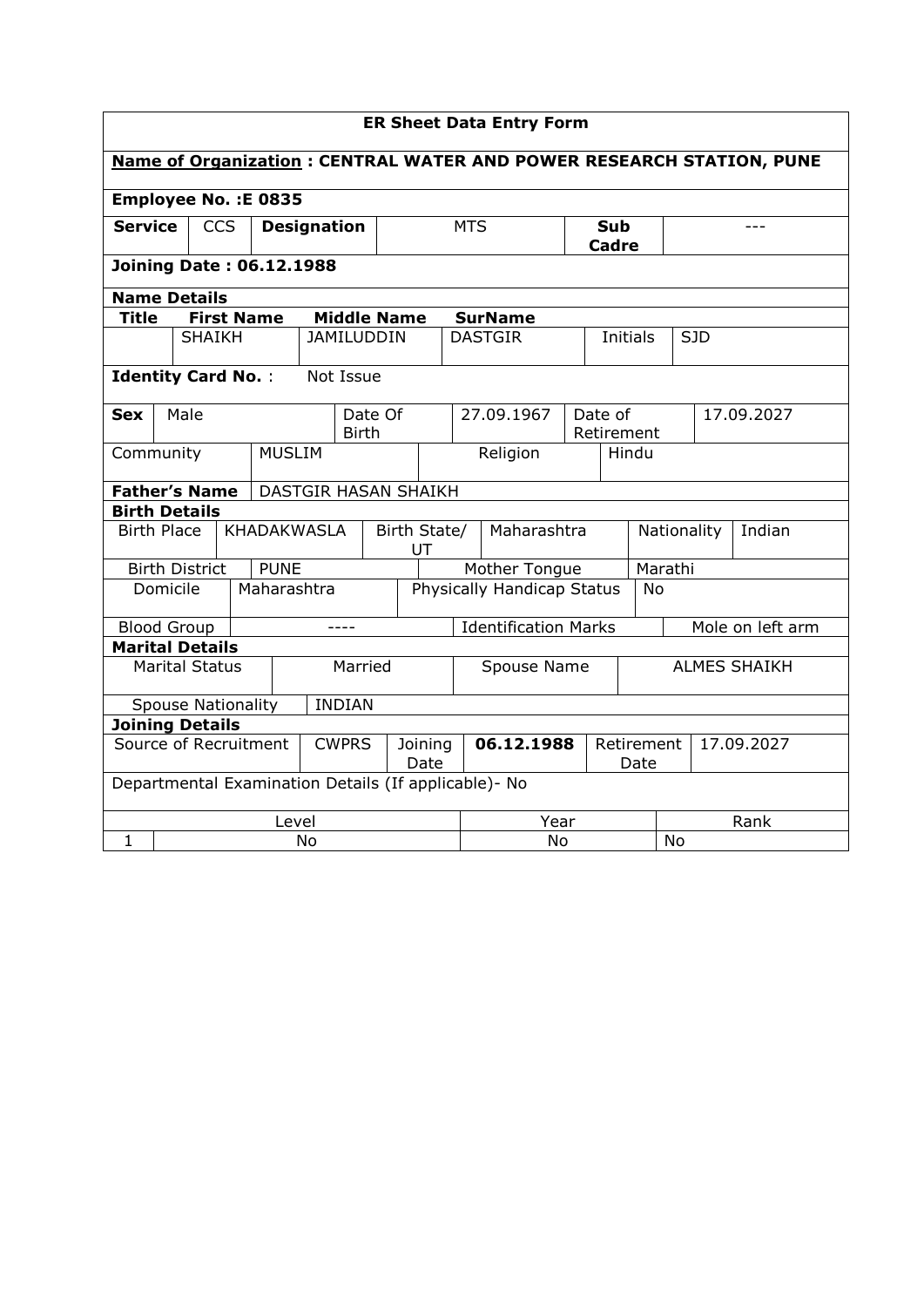| <b>ER Sheet Data Entry Form</b>                                             |                                            |  |                    |               |                 |              |                    |                          |                                                 |                |                     |                 |            |            |            |  |
|-----------------------------------------------------------------------------|--------------------------------------------|--|--------------------|---------------|-----------------|--------------|--------------------|--------------------------|-------------------------------------------------|----------------|---------------------|-----------------|------------|------------|------------|--|
| <b>Name of Organization: CENTRAL WATER AND POWER RESEARCH STATION, PUNE</b> |                                            |  |                    |               |                 |              |                    |                          |                                                 |                |                     |                 |            |            |            |  |
| Employee No. : E 0835                                                       |                                            |  |                    |               |                 |              |                    |                          |                                                 |                |                     |                 |            |            |            |  |
| <b>Service</b><br><b>CCS</b><br><b>Designation</b>                          |                                            |  |                    |               | <b>MTS</b>      |              |                    | <b>Sub</b><br>Cadre      |                                                 |                |                     |                 |            |            |            |  |
| <b>Joining Date: 06.12.1988</b>                                             |                                            |  |                    |               |                 |              |                    |                          |                                                 |                |                     |                 |            |            |            |  |
|                                                                             | <b>Name Details</b>                        |  |                    |               |                 |              |                    |                          |                                                 |                |                     |                 |            |            |            |  |
| <b>Title</b>                                                                |                                            |  | <b>First Name</b>  |               |                 |              | <b>Middle Name</b> |                          |                                                 | <b>SurName</b> |                     |                 |            |            |            |  |
|                                                                             | <b>SHAIKH</b>                              |  |                    |               |                 |              | <b>JAMILUDDIN</b>  |                          |                                                 | <b>DASTGIR</b> |                     | <b>Initials</b> |            |            | <b>SJD</b> |  |
|                                                                             | <b>Identity Card No.:</b>                  |  |                    |               |                 | Not Issue    |                    |                          |                                                 |                |                     |                 |            |            |            |  |
| <b>Sex</b>                                                                  | Male                                       |  |                    |               | Date Of         |              |                    |                          |                                                 | 27.09.1967     |                     | Date of         |            | 17.09.2027 |            |  |
|                                                                             |                                            |  |                    | <b>MUSLIM</b> |                 | <b>Birth</b> |                    |                          |                                                 |                |                     | Retirement      |            |            |            |  |
|                                                                             | Community                                  |  |                    |               |                 |              |                    |                          |                                                 | Religion       | Hindu               |                 |            |            |            |  |
|                                                                             | <b>Father's Name</b>                       |  |                    |               |                 |              |                    | DASTGIR HASAN SHAIKH     |                                                 |                |                     |                 |            |            |            |  |
|                                                                             | <b>Birth Details</b>                       |  |                    |               |                 |              |                    |                          |                                                 |                |                     |                 |            |            |            |  |
|                                                                             | <b>Birth Place</b>                         |  | <b>KHADAKWASLA</b> |               |                 |              |                    | Birth State/<br>UT       |                                                 | Maharashtra    |                     | Nationality     |            | Indian     |            |  |
|                                                                             | <b>Birth District</b>                      |  |                    | <b>PUNE</b>   |                 |              |                    | Mother Tongue<br>Marathi |                                                 |                |                     |                 |            |            |            |  |
|                                                                             | Domicile                                   |  |                    |               | Maharashtra     |              |                    |                          | Physically Handicap Status<br><b>No</b>         |                |                     |                 |            |            |            |  |
|                                                                             | <b>Blood Group</b>                         |  |                    |               |                 | ----         |                    |                          | <b>Identification Marks</b><br>Mole on left arm |                |                     |                 |            |            |            |  |
|                                                                             | <b>Marital Details</b>                     |  |                    |               |                 |              |                    |                          |                                                 |                |                     |                 |            |            |            |  |
| <b>Marital Status</b>                                                       |                                            |  |                    |               | Married         |              |                    | Spouse Name              |                                                 |                | <b>ALMES SHAIKH</b> |                 |            |            |            |  |
|                                                                             | <b>INDIAN</b><br><b>Spouse Nationality</b> |  |                    |               |                 |              |                    |                          |                                                 |                |                     |                 |            |            |            |  |
| <b>Joining Details</b>                                                      |                                            |  |                    |               |                 |              |                    |                          |                                                 |                |                     |                 |            |            |            |  |
| Source of Recruitment<br><b>CWPRS</b>                                       |                                            |  |                    |               | Joining<br>Date |              | 06.12.1988         |                          | Retirement<br>Date                              |                |                     |                 | 17.09.2027 |            |            |  |
| Departmental Examination Details (If applicable)- No                        |                                            |  |                    |               |                 |              |                    |                          |                                                 |                |                     |                 |            |            |            |  |
| Level                                                                       |                                            |  |                    |               |                 |              |                    | Year                     |                                                 |                |                     | Rank            |            |            |            |  |
| $\mathbf{1}$                                                                | No                                         |  |                    |               |                 |              |                    | <b>No</b><br>No          |                                                 |                |                     |                 |            |            |            |  |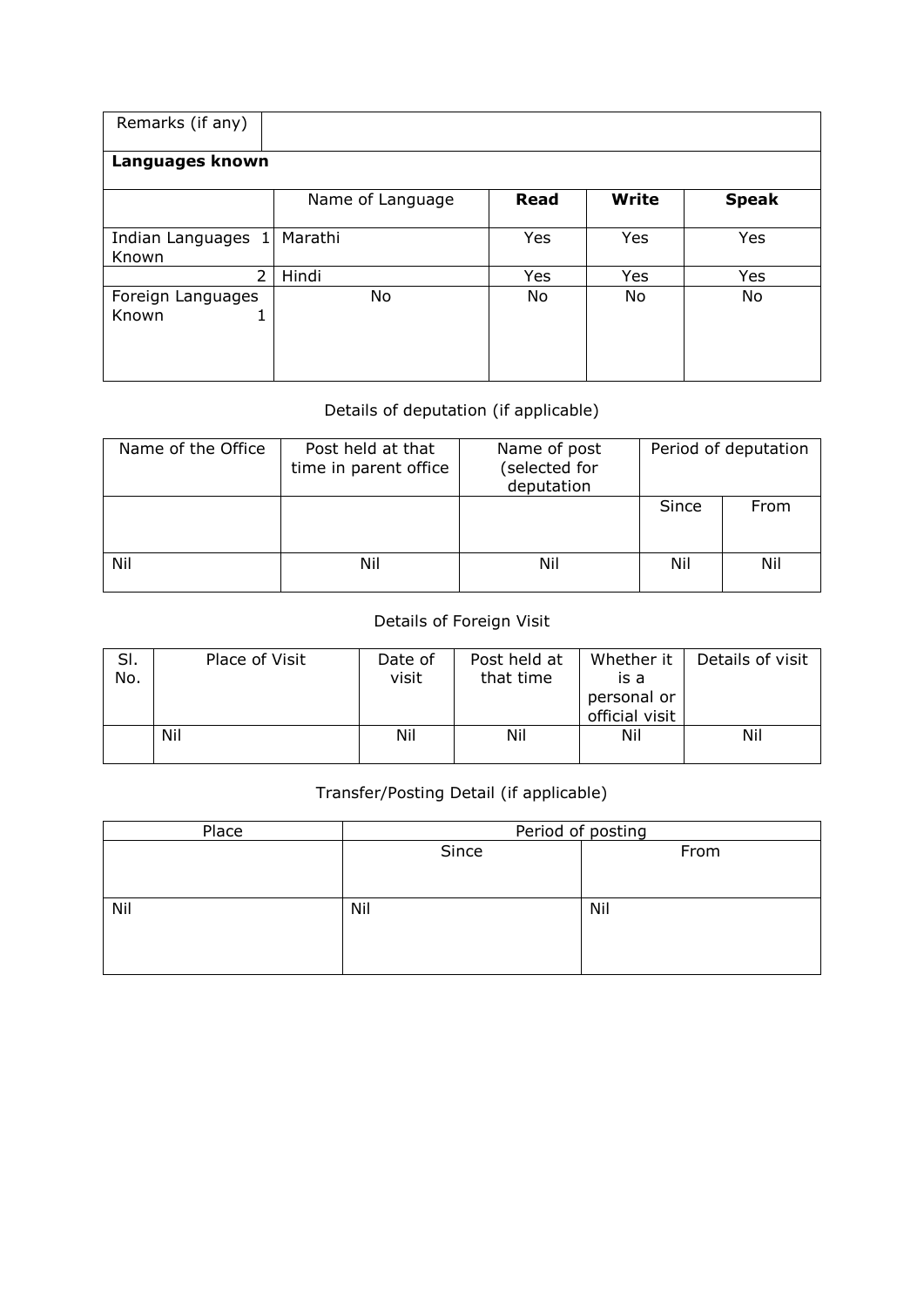| Remarks (if any)                |                  |             |              |              |  |  |  |  |  |  |
|---------------------------------|------------------|-------------|--------------|--------------|--|--|--|--|--|--|
| Languages known                 |                  |             |              |              |  |  |  |  |  |  |
|                                 | Name of Language | <b>Read</b> | <b>Write</b> | <b>Speak</b> |  |  |  |  |  |  |
| Indian Languages 1<br>Known     | Marathi          | Yes         | Yes          | Yes          |  |  |  |  |  |  |
| $\overline{2}$                  | Hindi            | Yes         | Yes          | Yes          |  |  |  |  |  |  |
| Foreign Languages<br>Known<br>┻ | No               | No          | No           | No           |  |  |  |  |  |  |

## Details of deputation (if applicable)

| Name of the Office | Post held at that<br>time in parent office | Name of post<br>(selected for<br>deputation | Period of deputation |      |  |
|--------------------|--------------------------------------------|---------------------------------------------|----------------------|------|--|
|                    |                                            |                                             | Since                | From |  |
| Nil                | Nil                                        | Nil                                         | Nil                  | Nil  |  |

## Details of Foreign Visit

| SI.<br>No. | Place of Visit | Date of<br>visit | Post held at<br>that time | Whether it<br>is a            | Details of visit |
|------------|----------------|------------------|---------------------------|-------------------------------|------------------|
|            |                |                  |                           | personal or<br>official visit |                  |
|            | Nil            | Nil              | Nil                       | Nil                           | Nil              |

## Transfer/Posting Detail (if applicable)

| Place | Period of posting |      |  |  |  |  |  |
|-------|-------------------|------|--|--|--|--|--|
|       | Since             | From |  |  |  |  |  |
|       |                   |      |  |  |  |  |  |
|       |                   |      |  |  |  |  |  |
| Nil   | Nil               | Nil  |  |  |  |  |  |
|       |                   |      |  |  |  |  |  |
|       |                   |      |  |  |  |  |  |
|       |                   |      |  |  |  |  |  |